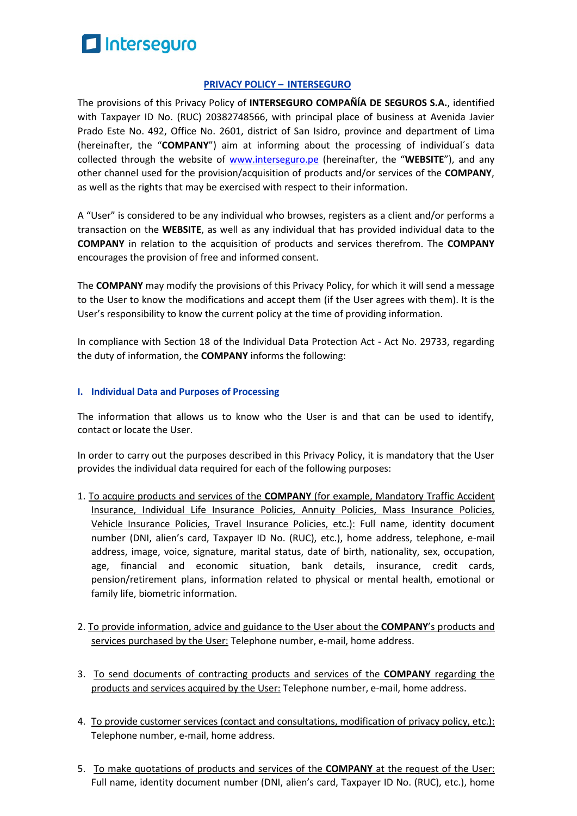

#### **PRIVACY POLICY – INTERSEGURO**

The provisions of this Privacy Policy of **INTERSEGURO COMPAÑÍA DE SEGUROS S.A.**, identified with Taxpayer ID No. (RUC) 20382748566, with principal place of business at Avenida Javier Prado Este No. 492, Office No. 2601, district of San Isidro, province and department of Lima (hereinafter, the "**COMPANY**") aim at informing about the processing of individual´s data collected through the website of www.interseguro.pe (hereinafter, the "**WEBSITE**"), and any other channel used for the provision/acquisition of products and/or services of the **COMPANY**, as well as the rights that may be exercised with respect to their information.

A "User" is considered to be any individual who browses, registers as a client and/or performs a transaction on the **WEBSITE**, as well as any individual that has provided individual data to the **COMPANY** in relation to the acquisition of products and services therefrom. The **COMPANY** encourages the provision of free and informed consent.

The **COMPANY** may modify the provisions of this Privacy Policy, for which it will send a message to the User to know the modifications and accept them (if the User agrees with them). It is the User's responsibility to know the current policy at the time of providing information.

In compliance with Section 18 of the Individual Data Protection Act - Act No. 29733, regarding the duty of information, the **COMPANY** informs the following:

#### **I. Individual Data and Purposes of Processing**

The information that allows us to know who the User is and that can be used to identify, contact or locate the User.

In order to carry out the purposes described in this Privacy Policy, it is mandatory that the User provides the individual data required for each of the following purposes:

- 1. To acquire products and services of the **COMPANY** (for example, Mandatory Traffic Accident Insurance, Individual Life Insurance Policies, Annuity Policies, Mass Insurance Policies, Vehicle Insurance Policies, Travel Insurance Policies, etc.): Full name, identity document number (DNI, alien's card, Taxpayer ID No. (RUC), etc.), home address, telephone, e-mail address, image, voice, signature, marital status, date of birth, nationality, sex, occupation, age, financial and economic situation, bank details, insurance, credit cards, pension/retirement plans, information related to physical or mental health, emotional or family life, biometric information.
- 2. To provide information, advice and guidance to the User about the **COMPANY**'s products and services purchased by the User: Telephone number, e-mail, home address.
- 3. To send documents of contracting products and services of the **COMPANY** regarding the products and services acquired by the User: Telephone number, e-mail, home address.
- 4. To provide customer services (contact and consultations, modification of privacy policy, etc.): Telephone number, e-mail, home address.
- 5. To make quotations of products and services of the **COMPANY** at the request of the User: Full name, identity document number (DNI, alien's card, Taxpayer ID No. (RUC), etc.), home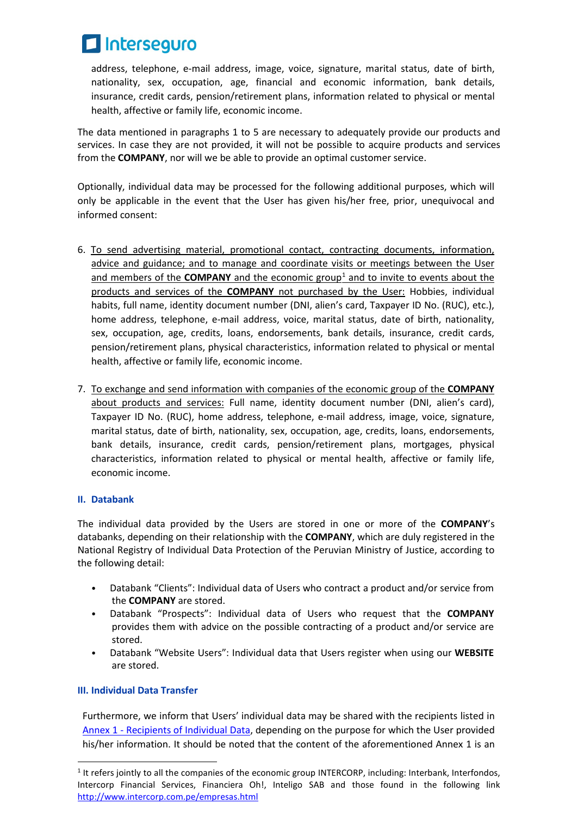

address, telephone, e-mail address, image, voice, signature, marital status, date of birth, nationality, sex, occupation, age, financial and economic information, bank details, insurance, credit cards, pension/retirement plans, information related to physical or mental health, affective or family life, economic income.

The data mentioned in paragraphs 1 to 5 are necessary to adequately provide our products and services. In case they are not provided, it will not be possible to acquire products and services from the **COMPANY**, nor will we be able to provide an optimal customer service.

Optionally, individual data may be processed for the following additional purposes, which will only be applicable in the event that the User has given his/her free, prior, unequivocal and informed consent:

- 6. To send advertising material, promotional contact, contracting documents, information, advice and guidance; and to manage and coordinate visits or meetings between the User and members of the **COMPANY** and the economic group<sup>[1](#page-1-0)</sup> and to invite to events about the products and services of the **COMPANY** not purchased by the User: Hobbies, individual habits, full name, identity document number (DNI, alien's card, Taxpayer ID No. (RUC), etc.), home address, telephone, e-mail address, voice, marital status, date of birth, nationality, sex, occupation, age, credits, loans, endorsements, bank details, insurance, credit cards, pension/retirement plans, physical characteristics, information related to physical or mental health, affective or family life, economic income.
- 7. To exchange and send information with companies of the economic group of the **COMPANY** about products and services: Full name, identity document number (DNI, alien's card), Taxpayer ID No. (RUC), home address, telephone, e-mail address, image, voice, signature, marital status, date of birth, nationality, sex, occupation, age, credits, loans, endorsements, bank details, insurance, credit cards, pension/retirement plans, mortgages, physical characteristics, information related to physical or mental health, affective or family life, economic income.

# **II. Databank**

The individual data provided by the Users are stored in one or more of the **COMPANY**'s databanks, depending on their relationship with the **COMPANY**, which are duly registered in the National Registry of Individual Data Protection of the Peruvian Ministry of Justice, according to the following detail:

- Databank "Clients": Individual data of Users who contract a product and/or service from the **COMPANY** are stored.
- Databank "Prospects": Individual data of Users who request that the **COMPANY** provides them with advice on the possible contracting of a product and/or service are stored.
- Databank "Website Users": Individual data that Users register when using our **WEBSITE** are stored.

# **III. Individual Data Transfer**

Furthermore, we inform that Users' individual data may be shared with the recipients listed in Annex 1 - Recipients of Individual Data, depending on the purpose for which the User provided his/her information. It should be noted that the content of the aforementioned Annex 1 is an

<span id="page-1-0"></span> $1$  It refers jointly to all the companies of the economic group INTERCORP, including: Interbank, Interfondos, Intercorp Financial Services, Financiera Oh!, Inteligo SAB and those found in the following link http://www.intercorp.com.pe/empresas.html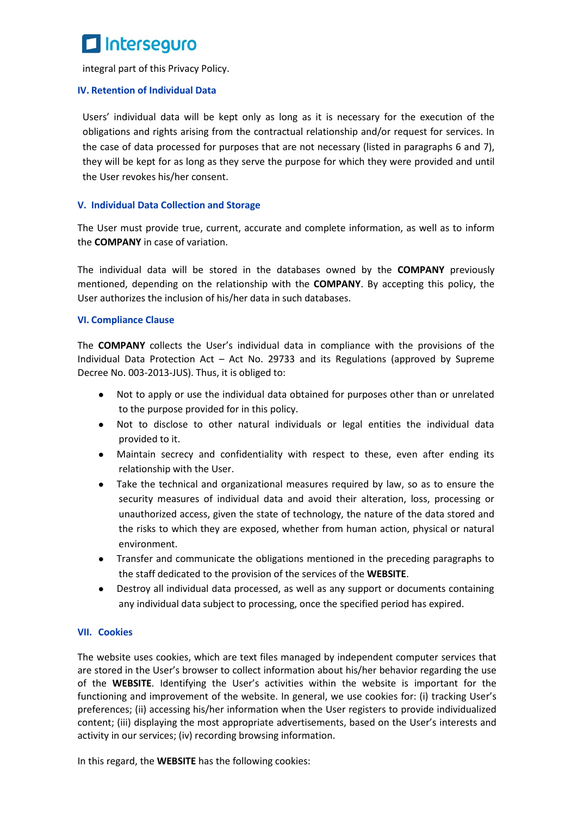

integral part of this Privacy Policy.

#### **IV. Retention of Individual Data**

Users' individual data will be kept only as long as it is necessary for the execution of the obligations and rights arising from the contractual relationship and/or request for services. In the case of data processed for purposes that are not necessary (listed in paragraphs 6 and 7), they will be kept for as long as they serve the purpose for which they were provided and until the User revokes his/her consent.

#### **V. Individual Data Collection and Storage**

The User must provide true, current, accurate and complete information, as well as to inform the **COMPANY** in case of variation.

The individual data will be stored in the databases owned by the **COMPANY** previously mentioned, depending on the relationship with the **COMPANY**. By accepting this policy, the User authorizes the inclusion of his/her data in such databases.

#### **VI. Compliance Clause**

The **COMPANY** collects the User's individual data in compliance with the provisions of the Individual Data Protection Act – Act No. 29733 and its Regulations (approved by Supreme Decree No. 003-2013-JUS). Thus, it is obliged to:

- Not to apply or use the individual data obtained for purposes other than or unrelated to the purpose provided for in this policy.
- Not to disclose to other natural individuals or legal entities the individual data provided to it.
- Maintain secrecy and confidentiality with respect to these, even after ending its relationship with the User.
- Take the technical and organizational measures required by law, so as to ensure the security measures of individual data and avoid their alteration, loss, processing or unauthorized access, given the state of technology, the nature of the data stored and the risks to which they are exposed, whether from human action, physical or natural environment.
- Transfer and communicate the obligations mentioned in the preceding paragraphs to the staff dedicated to the provision of the services of the **WEBSITE**.
- Destroy all individual data processed, as well as any support or documents containing any individual data subject to processing, once the specified period has expired.

# **VII. Cookies**

The website uses cookies, which are text files managed by independent computer services that are stored in the User's browser to collect information about his/her behavior regarding the use of the **WEBSITE**. Identifying the User's activities within the website is important for the functioning and improvement of the website. In general, we use cookies for: (i) tracking User's preferences; (ii) accessing his/her information when the User registers to provide individualized content; (iii) displaying the most appropriate advertisements, based on the User's interests and activity in our services; (iv) recording browsing information.

In this regard, the **WEBSITE** has the following cookies: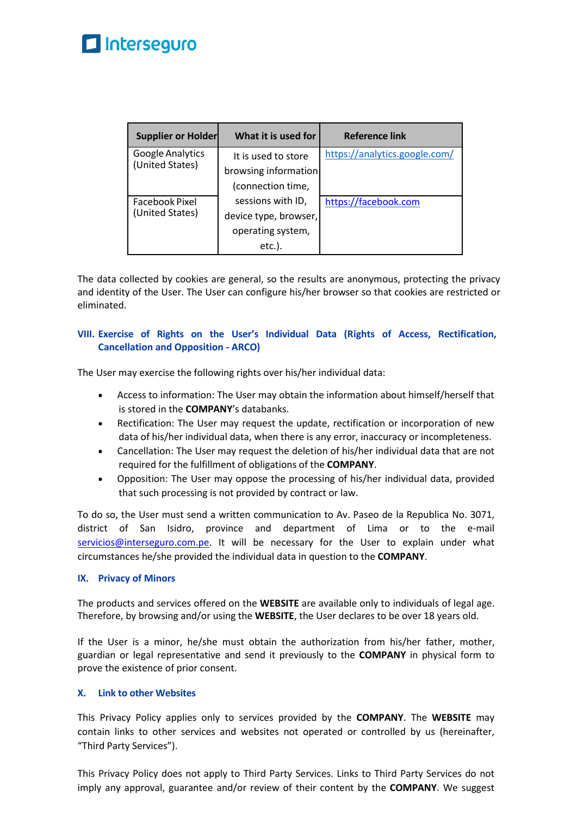# Interseguro

| <b>Supplier or Holder</b>                | What it is used for   | <b>Reference link</b>         |
|------------------------------------------|-----------------------|-------------------------------|
| Google Analytics<br>(United States)      | It is used to store   | https://analytics.google.com/ |
|                                          | browsing information  |                               |
|                                          | (connection time,     |                               |
| <b>Facebook Pixel</b><br>(United States) | sessions with ID,     | https://facebook.com          |
|                                          | device type, browser, |                               |
|                                          | operating system,     |                               |
|                                          | etc.).                |                               |

The data collected by cookies are general, so the results are anonymous, protecting the privacy and identity of the User. The User can configure his/her browser so that cookies are restricted or eliminated.

# **VIII. Exercise of Rights on the User's Individual Data (Rights of Access, Rectification, Cancellation and Opposition - ARCO)**

The User may exercise the following rights over his/her individual data:

- Access to information: The User may obtain the information about himself/herself that is stored in the **COMPANY**'s databanks.
- Rectification: The User may request the update, rectification or incorporation of new data of his/her individual data, when there is any error, inaccuracy or incompleteness.
- Cancellation: The User may request the deletion of his/her individual data that are not required for the fulfillment of obligations of the **COMPANY**.
- Opposition: The User may oppose the processing of his/her individual data, provided that such processing is not provided by contract or law.

To do so, the User must send a written communication to Av. Paseo de la Republica No. 3071, district of San Isidro, province and department of Lima or to the e-mail servicios@interseguro.com.pe. It will be necessary for the User to explain under what circumstances he/she provided the individual data in question to the **COMPANY**.

# **IX. Privacy of Minors**

The products and services offered on the **WEBSITE** are available only to individuals of legal age. Therefore, by browsing and/or using the **WEBSITE**, the User declares to be over 18 years old.

If the User is a minor, he/she must obtain the authorization from his/her father, mother, guardian or legal representative and send it previously to the **COMPANY** in physical form to prove the existence of prior consent.

# **X. Link to other Websites**

This Privacy Policy applies only to services provided by the **COMPANY**. The **WEBSITE** may contain links to other services and websites not operated or controlled by us (hereinafter, "Third Party Services").

This Privacy Policy does not apply to Third Party Services. Links to Third Party Services do not imply any approval, guarantee and/or review of their content by the **COMPANY**. We suggest